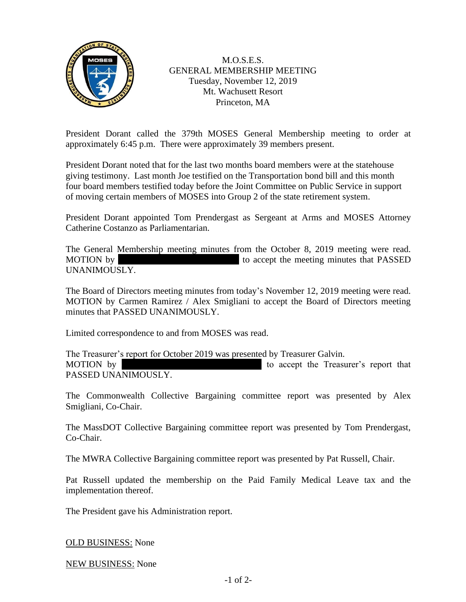

M.O.S.E.S. GENERAL MEMBERSHIP MEETING Tuesday, November 12, 2019 Mt. Wachusett Resort Princeton, MA

President Dorant called the 379th MOSES General Membership meeting to order at approximately 6:45 p.m. There were approximately 39 members present.

President Dorant noted that for the last two months board members were at the statehouse giving testimony. Last month Joe testified on the Transportation bond bill and this month four board members testified today before the Joint Committee on Public Service in support of moving certain members of MOSES into Group 2 of the state retirement system.

President Dorant appointed Tom Prendergast as Sergeant at Arms and MOSES Attorney Catherine Costanzo as Parliamentarian.

The General Membership meeting minutes from the October 8, 2019 meeting were read. MOTION by Tom Prendict accept the meeting minutes that PASSED UNANIMOUSLY.

The Board of Directors meeting minutes from today's November 12, 2019 meeting were read. MOTION by Carmen Ramirez / Alex Smigliani to accept the Board of Directors meeting minutes that PASSED UNANIMOUSLY.

Limited correspondence to and from MOSES was read.

The Treasurer's report for October 2019 was presented by Treasurer Galvin. MOTION by  $\blacksquare$  Allen Bondeson is to accept the Treasurer's report that PASSED UNANIMOUSLY.

The Commonwealth Collective Bargaining committee report was presented by Alex Smigliani, Co-Chair.

The MassDOT Collective Bargaining committee report was presented by Tom Prendergast, Co-Chair.

The MWRA Collective Bargaining committee report was presented by Pat Russell, Chair.

Pat Russell updated the membership on the Paid Family Medical Leave tax and the implementation thereof.

The President gave his Administration report.

OLD BUSINESS: None

NEW BUSINESS: None